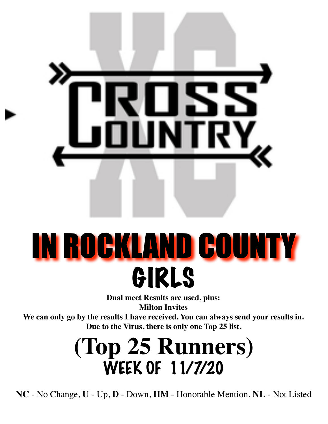

# IN ROCKLAND COUNTY GIRLS

**Dual meet Results are used, plus: Milton Invites**

**We can only go by the results I have received. You can always send your results in. Due to the Virus, there is only one Top 25 list.** 

### **(Top 25 Runners)** WEEK OF 11/7/20

**NC** - No Change, **U** - Up, **D** - Down, **HM** - Honorable Mention, **NL** - Not Listed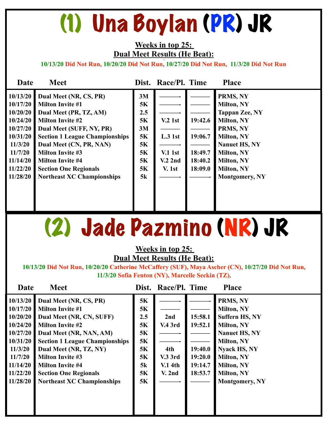# (1) Una Boylan (PR) JR

### **Weeks in top 25: Dual Meet Results (He Beat):**

**10/13/20 Did Not Run, 10/20/20 Did Not Run, 10/27/20 Did Not Run, 11/3/20 Did Not Run** 

| Date     | <b>Meet</b>                           | Dist.     | Race/Pl. Time      |         | <b>Place</b>          |
|----------|---------------------------------------|-----------|--------------------|---------|-----------------------|
| 10/13/20 | Dual Meet (NR, CS, PR)                | 3M        |                    |         | PRMS, NY              |
| 10/17/20 | <b>Milton Invite #1</b>               | 5K        |                    |         | Milton, NY            |
| 10/20/20 | Dual Meet (PR, TZ, AM)                | 2.5       |                    |         | <b>Tappan Zee, NY</b> |
| 10/24/20 | <b>Milton Invite #2</b>               | 5K        | V <sub>2</sub> 1st | 19:42.6 | <b>Milton, NY</b>     |
| 10/27/20 | Dual Meet (SUFF, NY, PR)              | 3M        |                    |         | PRMS, NY              |
| 10/31/20 | <b>Section 1 League Championships</b> | <b>5K</b> | L.31st             | 19:06.7 | <b>Milton, NY</b>     |
| 11/3/20  | Dual Meet (CN, PR, NAN)               | <b>5K</b> |                    |         | Nanuet HS, NY         |
| 11/7/20  | <b>Milton Invite #3</b>               | <b>5K</b> | <b>V.1 1st</b>     | 18:49.7 | <b>Milton, NY</b>     |
| 11/14/20 | <b>Milton Invite #4</b>               | 5K        | $V2$ 2nd           | 18:40.2 | <b>Milton, NY</b>     |
| 11/22/20 | <b>Section One Regionals</b>          | 5K        | <b>V.</b> 1st      | 18:09.0 | <b>Milton, NY</b>     |
| 11/28/20 | <b>Northeast XC Championships</b>     | <b>5k</b> |                    |         | <b>Montgomery, NY</b> |
|          |                                       |           |                    |         |                       |
|          |                                       |           |                    |         |                       |
|          |                                       |           |                    |         |                       |

(2) Jade Pazmino (NR) JR

### **Weeks in top 25: Dual Meet Results (He Beat):**

**10/13/20 Did Not Run, 10/20/20 Catherine McCaffery (SUF), Maya Ascher (CN), 10/27/20 Did Not Run, 11/3/20 Sofia Fenton (NY), Marcelle Seckin (TZ),** 

| 10/13/20<br>PRMS, NY<br>5K<br>Dual Meet (NR, CS, PR)<br>10/17/20<br><b>5K</b><br><b>Milton Invite #1</b><br><b>Milton, NY</b>                                                                                                                                                                                                                                                                                                                                                                                                                                                                                                                                                                                              | Date     | <b>Meet</b>              |     | Dist. Race/Pl. Time |         | <b>Place</b>          |
|----------------------------------------------------------------------------------------------------------------------------------------------------------------------------------------------------------------------------------------------------------------------------------------------------------------------------------------------------------------------------------------------------------------------------------------------------------------------------------------------------------------------------------------------------------------------------------------------------------------------------------------------------------------------------------------------------------------------------|----------|--------------------------|-----|---------------------|---------|-----------------------|
| 2nd<br><b>5K</b><br>10/24/20<br><b>Milton Invite #2</b><br>19:52.1<br><b>Milton, NY</b><br><b>V.4 3rd</b><br>10/27/20<br>Dual Meet (NR, NAN, AM)<br>5K<br>Nanuet HS, NY<br>10/31/20<br><b>5K</b><br><b>Section 1 League Championships</b><br><b>Milton, NY</b><br>11/3/20<br>Dual Meet (NR, TZ, NY)<br>19:40.0<br><b>Nyack HS, NY</b><br>5K<br>4th<br><b>5K</b><br>11/7/20<br><b>Milton Invite #3</b><br><b>V.3 3rd</b><br>19:20.0<br>Milton, NY<br>11/14/20<br><b>Milton Invite #4</b><br>V.14th<br>19:14.7<br>5k<br><b>Milton, NY</b><br>5K<br>11/22/20<br>V. 2nd<br>18:53.7<br><b>Milton, NY</b><br><b>Section One Regionals</b><br>11/28/20<br><b>Northeast XC Championships</b><br><b>5K</b><br><b>Montgomery, NY</b> | 10/20/20 | Dual Meet (NR, CN, SUFF) | 2.5 |                     | 15:58.1 | <b>Suffern HS, NY</b> |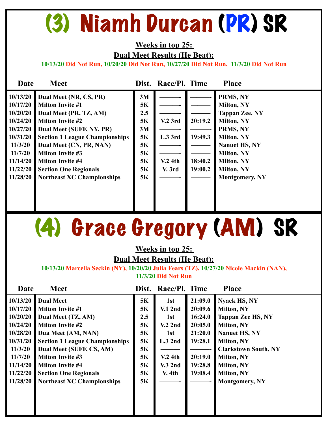### (3) Niamh Durcan (PR) SR

### **Weeks in top 25: Dual Meet Results (He Beat):**

**10/13/20 Did Not Run, 10/20/20 Did Not Run, 10/27/20 Did Not Run, 11/3/20 Did Not Run** 

| Date                                                                                       | <b>Meet</b>                                                                                                                                                                                                                       |                                                                    | Dist. Race/Pl. Time       |                    | <b>Place</b>                                                                                                                                              |
|--------------------------------------------------------------------------------------------|-----------------------------------------------------------------------------------------------------------------------------------------------------------------------------------------------------------------------------------|--------------------------------------------------------------------|---------------------------|--------------------|-----------------------------------------------------------------------------------------------------------------------------------------------------------|
| 10/13/20<br>10/17/20<br>10/20/20<br>10/24/20<br>10/27/20<br>10/31/20<br>11/3/20<br>11/7/20 | Dual Meet (NR, CS, PR)<br><b>Milton Invite #1</b><br>Dual Meet (PR, TZ, AM)<br><b>Milton Invite #2</b><br>Dual Meet (SUFF, NY, PR)<br><b>Section 1 League Championships</b><br>Dual Meet (CN, PR, NAN)<br><b>Milton Invite #3</b> | 3M<br><b>5K</b><br>2.5<br><b>5K</b><br>3M<br>5K<br>5K<br><b>5K</b> | <b>V.2 3rd</b><br>L.3 3rd | 20:19.2<br>19:49.3 | PRMS, NY<br><b>Milton, NY</b><br><b>Tappan Zee, NY</b><br><b>Milton, NY</b><br>PRMS, NY<br><b>Milton, NY</b><br><b>Nanuet HS, NY</b><br><b>Milton, NY</b> |
| 11/14/20<br>11/22/20<br>11/28/20                                                           | <b>Milton Invite #4</b><br><b>Section One Regionals</b><br><b>Northeast XC Championships</b>                                                                                                                                      | <b>5K</b><br>5K<br><b>5K</b>                                       | $V2$ 4th<br>V. 3rd        | 18:40.2<br>19:00.2 | <b>Milton, NY</b><br><b>Milton, NY</b><br><b>Montgomery, NY</b>                                                                                           |

# (4) Grace Gregory (AM) SR

### **Weeks in top 25:**

### **Dual Meet Results (He Beat):**

**10/13/20 Marcella Seckin (NY), 10/20/20 Julia Fears (TZ), 10/27/20 Nicole Mackin (NAN), 11/3/20 Did Not Run** 

| Date     | <b>Meet</b>                           | Dist.     | Race/Pl. Time |         | <b>Place</b>                |
|----------|---------------------------------------|-----------|---------------|---------|-----------------------------|
| 10/13/20 | <b>Dual Meet</b>                      | <b>5K</b> | 1st           | 21:09.0 | <b>Nyack HS, NY</b>         |
| 10/17/20 | <b>Milton Invite #1</b>               | <b>5K</b> | $V1$ 2nd      | 20:09.6 | <b>Milton, NY</b>           |
| 10/20/20 | Dual Meet (TZ, AM)                    | 2.5       | 1st           | 16:24.0 | <b>Tappan Zee HS, NY</b>    |
| 10/24/20 | <b>Milton Invite #2</b>               | 5K        | $V2$ 2nd      | 20:05.0 | <b>Milton, NY</b>           |
| 10/28/20 | Dua Meet (AM, NAN)                    | <b>5K</b> | 1st           | 21:20.0 | Nanuet HS, NY               |
| 10/31/20 | <b>Section 1 League Championships</b> | <b>5K</b> | L.32nd        | 19:28.1 | <b>Milton, NY</b>           |
| 11/3/20  | Dual Meet (SUFF, CS, AM)              | 5K        |               |         | <b>Clarkstown South, NY</b> |
| 11/7/20  | <b>Milton Invite #3</b>               | <b>5K</b> | $V2$ 4th      | 20:19.0 | <b>Milton, NY</b>           |
| 11/14/20 | <b>Milton Invite #4</b>               | <b>5K</b> | $V.3$ 2nd     | 19:28.8 | <b>Milton, NY</b>           |
| 11/22/20 | <b>Section One Regionals</b>          | 5K        | <b>V.</b> 4th | 19:08.4 | <b>Milton, NY</b>           |
| 11/28/20 | <b>Northeast XC Championships</b>     | <b>5K</b> |               |         | <b>Montgomery, NY</b>       |
|          |                                       |           |               |         |                             |
|          |                                       |           |               |         |                             |
|          |                                       |           |               |         |                             |
|          |                                       |           |               |         |                             |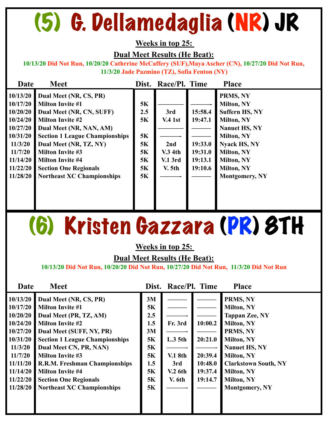### (5) G. Dellamedaglia (NR) JR

### **Weeks in top 25:**

**Dual Meet Results (He Beat):** 

**10/13/20 Did Not Run, 10/20/20 Cathrrine McCaffery (SUF),Maya Ascher (CN), 10/27/20 Did Not Run, 11/3/20 Jade Pazmino (TZ), Sofia Fenton (NY)** 

| Date     | <b>Meet</b>                           | Dist. | Race/Pl. Time      |         | <b>Place</b>          |
|----------|---------------------------------------|-------|--------------------|---------|-----------------------|
| 10/13/20 | Dual Meet (NR, CS, PR)                |       |                    |         | PRMS, NY              |
| 10/17/20 | <b>Milton Invite #1</b>               | 5K    |                    |         | <b>Milton, NY</b>     |
| 10/20/20 | Dual Meet (NR, CN, SUFF)              | 2.5   | 3rd                | 15:58.4 | <b>Suffern HS, NY</b> |
| 10/24/20 | <b>Milton Invite #2</b>               | 5K    | <b>V.4 1st</b>     | 19:47.1 | <b>Milton, NY</b>     |
| 10/27/20 | Dual Meet (NR, NAN, AM)               |       |                    |         | <b>Nanuet HS, NY</b>  |
| 10/31/20 | <b>Section 1 League Championships</b> | 5K    |                    |         | <b>Milton, NY</b>     |
| 11/3/20  | Dual Meet (NR, TZ, NY)                | 5K    | 2nd                | 19:33.0 | <b>Nyack HS, NY</b>   |
| 11/7/20  | <b>Milton Invite #3</b>               | 5K    | <b>V.3 4th</b>     | 19:31.0 | <b>Milton, NY</b>     |
| 11/14/20 | <b>Milton Invite #4</b>               | 5K    | <b>V.1 3rd</b>     | 19:13.1 | <b>Milton, NY</b>     |
| 11/22/20 | <b>Section One Regionals</b>          | 5K    | V. 5 <sub>th</sub> | 19:10.6 | <b>Milton, NY</b>     |
| 11/28/20 | <b>Northeast XC Championships</b>     | 5K    |                    |         | <b>Montgomery, NY</b> |
|          |                                       |       |                    |         |                       |
|          |                                       |       |                    |         |                       |
|          |                                       |       |                    |         |                       |

### (6) Kristen Gazzara (PR) 8TH

### **Weeks in top 25:**

**Dual Meet Results (He Beat):** 

**10/13/20 Did Not Run, 10/20/20 Did Not Run, 10/27/20 Did Not Run, 11/3/20 Did Not Run** 

| Date                                                                                                               | <b>Meet</b>                                                                                                                                                                                                                                                                                  |                                                             | Dist. Race/Pl. Time                                             |                                                     | <b>Place</b>                                                                                                                                                                                                  |
|--------------------------------------------------------------------------------------------------------------------|----------------------------------------------------------------------------------------------------------------------------------------------------------------------------------------------------------------------------------------------------------------------------------------------|-------------------------------------------------------------|-----------------------------------------------------------------|-----------------------------------------------------|---------------------------------------------------------------------------------------------------------------------------------------------------------------------------------------------------------------|
| 10/13/20<br>10/17/20<br>10/20/20<br>10/24/20<br>10/27/20<br>10/31/20<br>11/3/20<br>11/7/20<br>11/11/20<br>11/14/20 | Dual Meet (NR, CS, PR)<br><b>Milton Invite #1</b><br>Dual Meet (PR, TZ, AM)<br><b>Milton Invite #2</b><br>Dual Meet (SUFF, NY, PR)<br><b>Section 1 League Championships</b><br>Dual Meet CN, PR, NAN)<br><b>Milton Invite #3</b><br>R.R.M. Freshman Championships<br><b>Milton Invite #4</b> | 3M<br>5K<br>2.5<br>1.5<br>3M<br>5K<br>5K<br>5K<br>1.5<br>5K | Fr. 3rd<br>$L.3$ 5th<br><b>V.1 8th</b><br>3rd<br><b>V.2 6th</b> | 10:00.2<br>20:21.0<br>20:39.4<br>10:48.0<br>19:37.4 | PRMS, NY<br><b>Milton, NY</b><br><b>Tappan Zee, NY</b><br><b>Milton, NY</b><br>PRMS, NY<br><b>Milton, NY</b><br><b>Nanuet HS, NY</b><br><b>Milton, NY</b><br><b>Clarkstown South, NY</b><br><b>Milton, NY</b> |
| 11/22/20<br>11/28/20                                                                                               | <b>Section One Regionals</b><br><b>Northeast XC Championships</b>                                                                                                                                                                                                                            | 5K<br>5K                                                    | <b>V.</b> 6th                                                   | 19:14.7                                             | <b>Milton, NY</b><br><b>Montgomery, NY</b>                                                                                                                                                                    |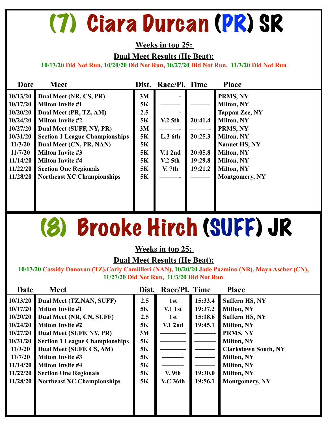# (7) Ciara Durcan (PR) SR

### **Weeks in top 25:**

**Dual Meet Results (He Beat):** 

**10/13/20 Did Not Run, 10/20/20 Did Not Run, 10/27/20 Did Not Run, 11/3/20 Did Not Run** 

| Date     | <b>Meet</b>                           | Dist.     | Race/Pl. Time      |         | <b>Place</b>          |
|----------|---------------------------------------|-----------|--------------------|---------|-----------------------|
| 10/13/20 | Dual Meet (NR, CS, PR)                | 3M        |                    |         | PRMS, NY              |
| 10/17/20 | <b>Milton Invite #1</b>               | 5K        |                    |         | Milton, NY            |
| 10/20/20 | Dual Meet (PR, TZ, AM)                | 2.5       |                    |         | <b>Tappan Zee, NY</b> |
| 10/24/20 | <b>Milton Invite #2</b>               | 5K        | $V2$ 5th           | 20:41.4 | Milton, NY            |
| 10/27/20 | Dual Meet (SUFF, NY, PR)              | 3M        |                    |         | PRMS, NY              |
| 10/31/20 | <b>Section 1 League Championships</b> | 5K        | L.3 6th            | 20:25.3 | Milton, NY            |
| 11/3/20  | Dual Meet (CN, PR, NAN)               | 5K        |                    |         | <b>Nanuet HS, NY</b>  |
| 11/7/20  | <b>Milton Invite #3</b>               | 5K        | $V1$ 2nd           | 20:05.8 | <b>Milton, NY</b>     |
| 11/14/20 | <b>Milton Invite #4</b>               | 5K        | V <sub>2</sub> 5th | 19:29.8 | <b>Milton, NY</b>     |
| 11/22/20 | <b>Section One Regionals</b>          | <b>5K</b> | V. 7th             | 19:21.2 | <b>Milton, NY</b>     |
| 11/28/20 | <b>Northeast XC Championships</b>     | <b>5K</b> |                    |         | <b>Montgomery, NY</b> |
|          |                                       |           |                    |         |                       |
|          |                                       |           |                    |         |                       |
|          |                                       |           |                    |         |                       |

### (8) Brooke Hirch (SUFF) JR

### **Weeks in top 25:**

### **Dual Meet Results (He Beat):**

**10/13/20 Cassidy Donovan (TZ),Carly Camillieri (NAN), 10/20/20 Jade Pazmino (NR), Maya Ascher (CN), 11/27/20 Did Not Run, 11/3/20 Did Not Run** 

| Date     | <b>Meet</b>                           | Dist.     | Race/Pl. Time      |         | <b>Place</b>                |
|----------|---------------------------------------|-----------|--------------------|---------|-----------------------------|
| 10/13/20 | Dual Meet (TZ, NAN, SUFF)             | 2.5       | 1st                | 15:33.4 | <b>Suffern HS, NY</b>       |
| 10/17/20 | <b>Milton Invite #1</b>               | 5K        | V <sub>1</sub> 1st | 19:37.2 | Milton, NY                  |
| 10/20/20 | Dual Meet (NR, CN, SUFF)              | 2.5       | 1st                | 15:18.6 | <b>Suffern HS, NY</b>       |
| 10/24/20 | <b>Milton Invite #2</b>               | 5K        | $V1$ 2nd           | 19:45.1 | <b>Milton, NY</b>           |
| 10/27/20 | Dual Meet (SUFF, NY, PR)              | 3M        |                    |         | PRMS, NY                    |
| 10/31/20 | <b>Section 1 League Championships</b> | <b>5K</b> |                    |         | <b>Milton, NY</b>           |
| 11/3/20  | Dual Meet (SUFF, CS, AM)              | 5K        |                    |         | <b>Clarkstown South, NY</b> |
| 11/7/20  | <b>Milton Invite #3</b>               | 5K        |                    |         | Milton, NY                  |
| 11/14/20 | <b>Milton Invite #4</b>               | 5K        |                    |         | Milton, NY                  |
| 11/22/20 | <b>Section One Regionals</b>          | 5K        | V.9 <sub>th</sub>  | 19:30.0 | <b>Milton, NY</b>           |
| 11/28/20 | <b>Northeast XC Championships</b>     | 5K        | <b>V.C 36th</b>    | 19:56.1 | <b>Montgomery, NY</b>       |
|          |                                       |           |                    |         |                             |
|          |                                       |           |                    |         |                             |
|          |                                       |           |                    |         |                             |
|          |                                       |           |                    |         |                             |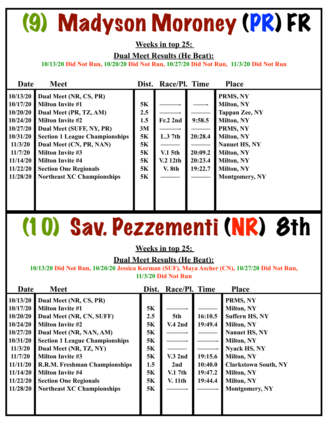# (9) Madyson Moroney (PR) FR

#### **Weeks in top 25:**

**Dual Meet Results (He Beat):** 

**10/13/20 Did Not Run, 10/20/20 Did Not Run, 10/27/20 Did Not Run, 11/3/20 Did Not Run** 

| Date     | <b>Meet</b>                           | Dist.     | Race/Pl. Time       |         | <b>Place</b>          |
|----------|---------------------------------------|-----------|---------------------|---------|-----------------------|
| 10/13/20 | Dual Meet (NR, CS, PR)                |           |                     |         | PRMS, NY              |
| 10/17/20 | <b>Milton Invite #1</b>               | <b>5K</b> |                     |         | <b>Milton, NY</b>     |
| 10/20/20 | Dual Meet (PR, TZ, AM)                | 2.5       |                     |         | <b>Tappan Zee, NY</b> |
| 10/24/20 | <b>Milton Invite #2</b>               | 1.5       | <b>Fr.2 2nd</b>     | 9:58.5  | <b>Milton, NY</b>     |
| 10/27/20 | Dual Meet (SUFF, NY, PR)              | 3M        |                     |         | PRMS, NY              |
| 10/31/20 | <b>Section 1 League Championships</b> | 5K        | $L.3$ 7th           | 20:28.4 | <b>Milton, NY</b>     |
| 11/3/20  | Dual Meet (CN, PR, NAN)               | 5K        |                     |         | <b>Nanuet HS, NY</b>  |
| 11/7/20  | <b>Milton Invite #3</b>               | 5K        | $V1$ 5th            | 20:09.2 | <b>Milton, NY</b>     |
| 11/14/20 | <b>Milton Invite #4</b>               | 5K        | V <sub>2</sub> 12th | 20:23.4 | Milton, NY            |
| 11/22/20 | <b>Section One Regionals</b>          | 5K        | <b>V.</b> 8th       | 19:22.7 | <b>Milton, NY</b>     |
| 11/28/20 | <b>Northeast XC Championships</b>     | 5K        |                     |         | <b>Montgomery, NY</b> |
|          |                                       |           |                     |         |                       |
|          |                                       |           |                     |         |                       |
|          |                                       |           |                     |         |                       |

### (10) Sav. Pezzementi (NR) 8th

### **Weeks in top 25:**

### **Dual Meet Results (He Beat):**

**10/13/20 Did Not Run, 10/20/20 Jessica Korman (SUF), Maya Ascher (CN), 10/27/20 Did Not Run, 11/3/20 Did Not Run** 

| Date     | <b>Meet</b>                           | Dist.     | Race/Pl. Time   |         | <b>Place</b>                |
|----------|---------------------------------------|-----------|-----------------|---------|-----------------------------|
| 10/13/20 | Dual Meet (NR, CS, PR)                |           |                 |         | PRMS, NY                    |
| 10/17/20 | <b>Milton Invite #1</b>               | <b>5K</b> |                 |         | <b>Milton, NY</b>           |
| 10/20/20 | Dual Meet (NR, CN, SUFF)              | 2.5       | 5th             | 16:10.5 | <b>Suffern HS, NY</b>       |
| 10/24/20 | <b>Milton Invite #2</b>               | 5K        | <b>V.4 2nd</b>  | 19:49.4 | Milton, NY                  |
| 10/27/20 | Dual Meet (NR, NAN, AM)               | 5K        |                 |         | <b>Nanuet HS, NY</b>        |
| 10/31/20 | <b>Section 1 League Championships</b> | 5K        |                 |         | <b>Milton, NY</b>           |
| 11/3/20  | Dual Meet (NR, TZ, NY)                | 5K        |                 |         | <b>Nyack HS, NY</b>         |
| 11/7/20  | <b>Milton Invite #3</b>               | <b>5K</b> | <b>V.3 2nd</b>  | 19:15.6 | <b>Milton, NY</b>           |
| 11/11/20 | <b>R.R.M. Freshman Championships</b>  | 1.5       | 2 <sub>nd</sub> | 10:40.0 | <b>Clarkstown South, NY</b> |
| 11/14/20 | <b>Milton Invite #4</b>               | 5K        | V.17th          | 19:47.2 | Milton, NY                  |
| 11/22/20 | <b>Section One Regionals</b>          | 5K        | <b>V.</b> 11th  | 19:44.4 | Milton, NY                  |
| 11/28/20 | <b>Northeast XC Championships</b>     | <b>5K</b> |                 |         | <b>Montgomery, NY</b>       |
|          |                                       |           |                 |         |                             |
|          |                                       |           |                 |         |                             |
|          |                                       |           |                 |         |                             |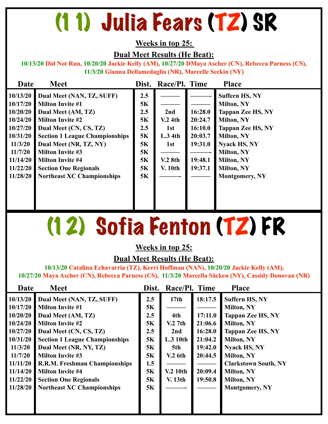## (11) Julia Fears (TZ) SR

### **Weeks in top 25:**

### **Dual Meet Results (He Beat):**

**10/13/20 Did Not Run, 10/20/20 Jackie Kelly (AM), 10/27/20 DMaya Ascher (CN), Rebecca Parness (CS), 11/3/20 Gianna Dellamedaglia (NR), Marcelle Seckin (NY)** 

| Date     | <b>Meet</b>                           | Dist.     | Race/Pl. Time  |         | <b>Place</b>             |
|----------|---------------------------------------|-----------|----------------|---------|--------------------------|
| 10/13/20 | Dual Meet (NAN, TZ, SUFF)             | 2.5       |                |         | <b>Suffern HS, NY</b>    |
| 10/17/20 | <b>Milton Invite #1</b>               | 5K        |                |         | <b>Milton, NY</b>        |
| 10/20/20 | Dual Meet (AM, TZ)                    | 2.5       | 2nd            | 16:28.0 | <b>Tappan Zee HS, NY</b> |
| 10/24/20 | <b>Milton Invite #2</b>               | 5K        | $V2$ 4th       | 20:24.7 | <b>Milton, NY</b>        |
| 10/27/20 | Dual Meet (CN, CS, TZ)                | 2.5       | 1st            | 16:10.0 | <b>Tappan Zee HS, NY</b> |
| 10/31/20 | <b>Section 1 League Championships</b> | 5K        | $L.3$ 4th      | 20:03.7 | <b>Milton, NY</b>        |
| 11/3/20  | Dual Meet (NR, TZ, NY)                | 5K        |                | 19:31.0 | <b>Nyack HS, NY</b>      |
| 11/7/20  | <b>Milton Invite #3</b>               |           | 1st            |         |                          |
|          |                                       | <b>5K</b> |                |         | <b>Milton, NY</b>        |
| 11/14/20 | <b>Milton Invite #4</b>               | 5K        | $V2$ 8th       | 19:48.1 | <b>Milton, NY</b>        |
| 11/22/20 | <b>Section One Regionals</b>          | 5K        | <b>V.</b> 10th | 19:37.1 | <b>Milton, NY</b>        |
| 11/28/20 | <b>Northeast XC Championships</b>     | <b>5K</b> |                |         | <b>Montgomery, NY</b>    |
|          |                                       |           |                |         |                          |
|          |                                       |           |                |         |                          |
|          |                                       |           |                |         |                          |

### (12) Sofia Fenton (TZ) FR

### **Weeks in top 25:**

### **Dual Meet Results (He Beat):**

**10/13/20 Catalina Echavarria (TZ), Kerri Hoffman (NAN), 10/20/20 Jackie Kelly (AM), 10/27/20 Maya Ascher (CN), Rebecca Parness (CS), 11/3/20 Marcella Säcken (NY), Cassidy Donovan (NR)** 

| Date     | <b>Meet</b>                           | Dist.     | Race/Pl. Time    |         | <b>Place</b>                |
|----------|---------------------------------------|-----------|------------------|---------|-----------------------------|
| 10/13/20 | Dual Meet (NAN, TZ, SUFF)             | 2.5       | 17 <sub>th</sub> | 18:17.5 | <b>Suffern HS, NY</b>       |
| 10/17/20 | <b>Milton Invite #1</b>               | <b>5K</b> |                  |         | <b>Milton, NY</b>           |
| 10/20/20 | Dual Meet (AM, TZ)                    | 2.5       | 4th              | 17:11.0 | <b>Tappan Zee HS, NY</b>    |
| 10/24/20 | <b>Milton Invite #2</b>               | <b>5K</b> | $V2$ 7th         | 21:06.6 | <b>Milton, NY</b>           |
| 10/27/20 | Dual Meet (CN, CS, TZ)                | 2.5       | 2 <sub>nd</sub>  | 16:28.0 | <b>Tappan Zee HS, NY</b>    |
| 10/31/20 | <b>Section 1 League Championships</b> | <b>5K</b> | L.310th          | 21:04.2 | <b>Milton, NY</b>           |
| 11/3/20  | Dual Meet (NR, NY, TZ)                | <b>5K</b> | 5th              | 19:42.0 | <b>Nyack HS, NY</b>         |
| 11/7/20  | <b>Milton Invite #3</b>               | <b>5K</b> | $V2$ 6th         | 20:44.5 | <b>Milton, NY</b>           |
| 11/11/20 | <b>R.R.M. Freshman Championships</b>  | 1.5       |                  |         | <b>Clarkstown South, NY</b> |
| 11/14/20 | <b>Milton Invite #4</b>               | <b>5K</b> | <b>V.2 10th</b>  | 20:09.4 | <b>Milton, NY</b>           |
| 11/22/20 | <b>Section One Regionals</b>          | <b>5K</b> | <b>V.</b> 13th   | 19:50.8 | <b>Milton, NY</b>           |
| 11/28/20 | <b>Northeast XC Championships</b>     | <b>5K</b> |                  |         | <b>Montgomery, NY</b>       |
|          |                                       |           |                  |         |                             |
|          |                                       |           |                  |         |                             |
|          |                                       |           |                  |         |                             |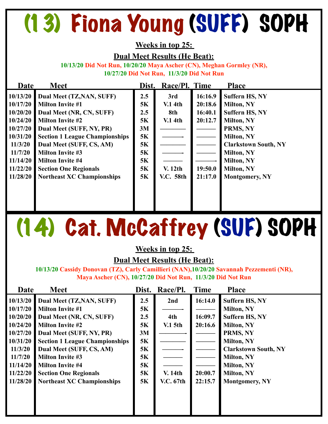# (13) Fiona Young (SUFF) SOPH

### **Weeks in top 25:**

### **Dual Meet Results (He Beat):**

**10/13/20 Did Not Run, 10/20/20 Maya Ascher (CN), Meghan Gormley (NR), 10/27/20 Did Not Run, 11/3/20 Did Not Run** 

| Date     | <b>Meet</b>                           | Dist.     | Race/Pl. Time    |         | <b>Place</b>                |
|----------|---------------------------------------|-----------|------------------|---------|-----------------------------|
| 10/13/20 | Dual Meet (TZ, NAN, SUFF)             | 2.5       | 3rd              | 16:16.9 | <b>Suffern HS, NY</b>       |
| 10/17/20 | <b>Milton Invite #1</b>               | <b>5K</b> | $V1$ 4th         | 20:18.6 | <b>Milton, NY</b>           |
| 10/20/20 | Dual Meet (NR, CN, SUFF)              | 2.5       | 8th              | 16:40.1 | <b>Suffern HS, NY</b>       |
| 10/24/20 | <b>Milton Invite #2</b>               | <b>5K</b> | $V1$ 4th         | 20:12.7 | <b>Milton, NY</b>           |
| 10/27/20 | Dual Meet (SUFF, NY, PR)              | 3M        |                  |         | PRMS, NY                    |
| 10/31/20 | <b>Section 1 League Championships</b> | <b>5K</b> |                  |         | <b>Milton, NY</b>           |
| 11/3/20  | Dual Meet (SUFF, CS, AM)              | 5K        |                  |         | <b>Clarkstown South, NY</b> |
| 11/7/20  | <b>Milton Invite #3</b>               | <b>5K</b> |                  |         | <b>Milton, NY</b>           |
| 11/14/20 | <b>Milton Invite #4</b>               | 5K        |                  |         | <b>Milton, NY</b>           |
| 11/22/20 | <b>Section One Regionals</b>          | <b>5K</b> | V. 12th          | 19:50.0 | <b>Milton, NY</b>           |
| 11/28/20 | <b>Northeast XC Championships</b>     | 5K        | <b>V.C. 58th</b> | 21:17.0 | <b>Montgomery, NY</b>       |
|          |                                       |           |                  |         |                             |
|          |                                       |           |                  |         |                             |
|          |                                       |           |                  |         |                             |

# (14) Cat. McCaffrey (SUF) SOPH

### **Weeks in top 25:**

### **Dual Meet Results (He Beat):**

**10/13/20 Cassidy Donovan (TZ), Carly Camillieri (NAN),10/20/20 Savannah Pezzementi (NR), Maya Ascher (CN), 10/27/20 Did Not Run, 11/3/20 Did Not Run** 

| Date                 | <b>Meet</b>                                                       | Dist.            | Race/Pl.                           | <b>Time</b>        | <b>Place</b>                                     |
|----------------------|-------------------------------------------------------------------|------------------|------------------------------------|--------------------|--------------------------------------------------|
| 10/13/20             | Dual Meet (TZ, NAN, SUFF)                                         | 2.5              | 2nd                                | 16:14.0            | <b>Suffern HS, NY</b>                            |
| 10/17/20<br>10/20/20 | <b>Milton Invite #1</b><br>Dual Meet (NR, CN, SUFF)               | <b>5K</b><br>2.5 | 4th                                | 16:09.7            | <b>Milton, NY</b><br><b>Suffern HS, NY</b>       |
| 10/24/20<br>10/27/20 | <b>Milton Invite #2</b><br>Dual Meet (SUFF, NY, PR)               | 5K<br>3M         | $V1$ 5th                           | 20:16.6            | <b>Milton, NY</b><br>PRMS, NY                    |
| 10/31/20             | <b>Section 1 League Championships</b>                             | <b>5K</b>        |                                    |                    | <b>Milton, NY</b>                                |
| 11/3/20<br>11/7/20   | Dual Meet (SUFF, CS, AM)<br><b>Milton Invite #3</b>               | <b>5K</b><br>5K  |                                    |                    | <b>Clarkstown South, NY</b><br><b>Milton, NY</b> |
| 11/14/20             | <b>Milton Invite #4</b>                                           | 5K               |                                    |                    | <b>Milton, NY</b>                                |
| 11/22/20<br>11/28/20 | <b>Section One Regionals</b><br><b>Northeast XC Championships</b> | 5K<br>5K         | <b>V.</b> 14th<br><b>V.C.</b> 67th | 20:00.7<br>22:15.7 | <b>Milton, NY</b><br>Montgomery, NY              |
|                      |                                                                   |                  |                                    |                    |                                                  |
|                      |                                                                   |                  |                                    |                    |                                                  |
|                      |                                                                   |                  |                                    |                    |                                                  |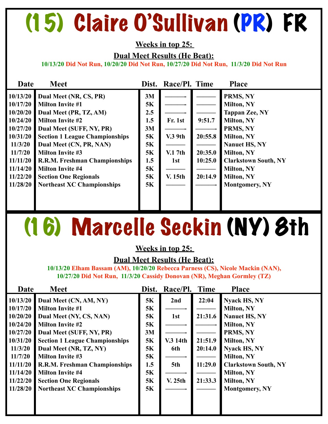# (15) Claire O'Sullivan (PR) FR

### **Weeks in top 25:**

**Dual Meet Results (He Beat):** 

**10/13/20 Did Not Run, 10/20/20 Did Not Run, 10/27/20 Did Not Run, 11/3/20 Did Not Run** 

| Date     | <b>Meet</b>                           | Dist.     | Race/Pl. Time  |         | <b>Place</b>                |
|----------|---------------------------------------|-----------|----------------|---------|-----------------------------|
| 10/13/20 | Dual Meet (NR, CS, PR)                | 3M        |                |         | PRMS, NY                    |
| 10/17/20 | <b>Milton Invite #1</b>               | <b>5K</b> |                |         | <b>Milton, NY</b>           |
| 10/20/20 | Dual Meet (PR, TZ, AM)                | 2.5       |                |         | <b>Tappan Zee, NY</b>       |
| 10/24/20 | <b>Milton Invite #2</b>               | 1.5       | Fr. 1st        | 9:51.7  | <b>Milton, NY</b>           |
| 10/27/20 | Dual Meet (SUFF, NY, PR)              | 3M        |                |         | PRMS, NY                    |
| 10/31/20 | <b>Section 1 League Championships</b> | <b>5K</b> | <b>V.3 9th</b> | 20:55.8 | <b>Milton, NY</b>           |
| 11/3/20  | Dual Meet (CN, PR, NAN)               | 5K        |                |         | <b>Nanuet HS, NY</b>        |
| 11/7/20  | <b>Milton Invite #3</b>               | 5K        | V.17th         | 20:35.0 | <b>Milton, NY</b>           |
| 11/11/20 | <b>R.R.M. Freshman Championships</b>  | 1.5       | 1st            | 10:25.0 | <b>Clarkstown South, NY</b> |
| 11/14/20 | <b>Milton Invite #4</b>               | <b>5K</b> |                |         | <b>Milton, NY</b>           |
| 11/22/20 | <b>Section One Regionals</b>          | <b>5K</b> | <b>V.</b> 15th | 20:14.9 | <b>Milton, NY</b>           |
| 11/28/20 | <b>Northeast XC Championships</b>     | <b>5K</b> |                |         | <b>Montgomery, NY</b>       |
|          |                                       |           |                |         |                             |
|          |                                       |           |                |         |                             |

# (16) Marcelle Seckin (NY) 8th

### **Weeks in top 25:**

### **Dual Meet Results (He Beat):**

**10/13/20 Elham Bassam (AM), 10/20/20 Rebecca Parness (CS), Nicole Mackin (NAN), 10/27/20 Did Not Run, 11/3/20 Cassidy Donovan (NR), Meghan Gormley (TZ)** 

| Date     | <b>Meet</b>                           | Dist.     | Race/Pl. Time |         | <b>Place</b>                |
|----------|---------------------------------------|-----------|---------------|---------|-----------------------------|
| 10/13/20 | Dual Meet (CN, AM, NY)                | <b>5K</b> | 2nd           | 22:04   | <b>Nyack HS, NY</b>         |
| 10/17/20 | <b>Milton Invite #1</b>               | <b>5K</b> |               |         | <b>Milton, NY</b>           |
| 10/20/20 | Dual Meet (NY, CS, NAN)               | <b>5K</b> | 1st           | 21:31.6 | <b>Nanuet HS, NY</b>        |
| 10/24/20 | <b>Milton Invite #2</b>               | 5K        |               |         | Milton, NY                  |
| 10/27/20 | Dual Meet (SUFF, NY, PR)              | 3M        |               |         | PRMS, NY                    |
| 10/31/20 | <b>Section 1 League Championships</b> | <b>5K</b> | V.3 14th      | 21:51.9 | <b>Milton, NY</b>           |
| 11/3/20  | Dual Meet (NR, TZ, NY)                | <b>5K</b> | 6th           | 20:14.0 | <b>Nyack HS, NY</b>         |
| 11/7/20  | <b>Milton Invite #3</b>               | <b>5K</b> |               |         | <b>Milton, NY</b>           |
| 11/11/20 | <b>R.R.M. Freshman Championships</b>  | 1.5       | 5th           | 11:29.0 | <b>Clarkstown South, NY</b> |
| 11/14/20 | <b>Milton Invite #4</b>               | <b>5K</b> |               |         | <b>Milton, NY</b>           |
| 11/22/20 | <b>Section One Regionals</b>          | <b>5K</b> | V. 25th       | 21:33.3 | Milton, NY                  |
| 11/28/20 | <b>Northeast XC Championships</b>     | 5K        |               |         | <b>Montgomery, NY</b>       |
|          |                                       |           |               |         |                             |
|          |                                       |           |               |         |                             |
|          |                                       |           |               |         |                             |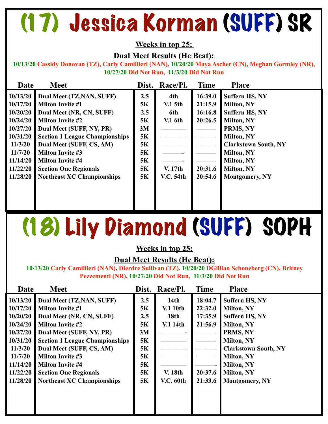# (17) Jessica Korman (SUFF) SR

### **Weeks in top 25:**

**Dual Meet Results (He Beat):** 

**10/13/20 Cassidy Donovan (TZ), Carly Camillieri (NAN), 10/20/20 Maya Ascher (CN), Meghan Gormley (NR), 10/27/20 Did Not Run, 11/3/20 Did Not Run** 

| Date     | <b>Meet</b>                           | Dist.     | Race/Pl.         | <b>Time</b> | <b>Place</b>                |
|----------|---------------------------------------|-----------|------------------|-------------|-----------------------------|
| 10/13/20 | Dual Meet (TZ, NAN, SUFF)             | 2.5       | 4th              | 16:39.0     | <b>Suffern HS, NY</b>       |
| 10/17/20 | <b>Milton Invite #1</b>               | 5K        | $V1$ 5th         | 21:15.9     | Milton, NY                  |
| 10/20/20 | Dual Meet (NR, CN, SUFF)              | 2.5       | 6th              | 16:16.8     | <b>Suffern HS, NY</b>       |
| 10/24/20 | <b>Milton Invite #2</b>               | 5K        | <b>V.1 6th</b>   | 20:26.5     | <b>Milton, NY</b>           |
| 10/27/20 | Dual Meet (SUFF, NY, PR)              | 3M        |                  |             | PRMS, NY                    |
| 10/31/20 | <b>Section 1 League Championships</b> | 5K        |                  |             | <b>Milton, NY</b>           |
| 11/3/20  | Dual Meet (SUFF, CS, AM)              | <b>5K</b> |                  |             | <b>Clarkstown South, NY</b> |
| 11/7/20  | <b>Milton Invite #3</b>               | 5K        |                  |             | Milton, NY                  |
| 11/14/20 | <b>Milton Invite #4</b>               | 5K        |                  |             | <b>Milton, NY</b>           |
| 11/22/20 | <b>Section One Regionals</b>          | 5K        | V. 17th          | 20:31.6     | <b>Milton, NY</b>           |
| 11/28/20 | <b>Northeast XC Championships</b>     | 5K        | <b>V.C. 54th</b> | 20:54.6     | <b>Montgomery, NY</b>       |
|          |                                       |           |                  |             |                             |
|          |                                       |           |                  |             |                             |
|          |                                       |           |                  |             |                             |

(18) Lily Diamond (SUFF) SOPH

### **Weeks in top 25:**

### **Dual Meet Results (He Beat):**

**10/13/20 Carly Camillieri (NAN), Dierdre Sullivan (TZ), 10/20/20 DGillian Schoneberg (CN), Britney Pezzementi (NR), 10/27/20 Did Not Run, 11/3/20 Did Not Run** 

| Date                                                                                                                           | <b>Meet</b>                                                                                                                                                                                                                                                                                                                             | Dist.                                                                          | Race/Pl.                                                                                                 | <b>Time</b>                                                    | <b>Place</b>                                                                                                                                                                                                                       |
|--------------------------------------------------------------------------------------------------------------------------------|-----------------------------------------------------------------------------------------------------------------------------------------------------------------------------------------------------------------------------------------------------------------------------------------------------------------------------------------|--------------------------------------------------------------------------------|----------------------------------------------------------------------------------------------------------|----------------------------------------------------------------|------------------------------------------------------------------------------------------------------------------------------------------------------------------------------------------------------------------------------------|
| 10/13/20<br>10/17/20<br>10/20/20<br>10/24/20<br>10/27/20<br>10/31/20<br>11/3/20<br>11/7/20<br>11/14/20<br>11/22/20<br>11/28/20 | Dual Meet (TZ, NAN, SUFF)<br><b>Milton Invite #1</b><br>Dual Meet (NR, CN, SUFF)<br><b>Milton Invite #2</b><br>Dual Meet (SUFF, NY, PR)<br><b>Section 1 League Championships</b><br>Dual Meet (SUFF, CS, AM)<br><b>Milton Invite #3</b><br><b>Milton Invite #4</b><br><b>Section One Regionals</b><br><b>Northeast XC Championships</b> | 2.5<br>5K<br>2.5<br>5K<br>3M<br><b>5K</b><br>5K<br>5K<br><b>5K</b><br>5K<br>5K | 14 <sub>th</sub><br><b>V.1 10th</b><br>18 <sub>th</sub><br>V.114th<br><b>V.</b> 18th<br><b>V.C.</b> 60th | 18:04.7<br>22:32.0<br>17:35.9<br>21:56.9<br>20:37.6<br>21:33.6 | <b>Suffern HS, NY</b><br>Milton, NY<br><b>Suffern HS, NY</b><br>Milton, NY<br>PRMS, NY<br><b>Milton, NY</b><br><b>Clarkstown South, NY</b><br><b>Milton, NY</b><br><b>Milton, NY</b><br><b>Milton, NY</b><br><b>Montgomery, NY</b> |
|                                                                                                                                |                                                                                                                                                                                                                                                                                                                                         |                                                                                |                                                                                                          |                                                                |                                                                                                                                                                                                                                    |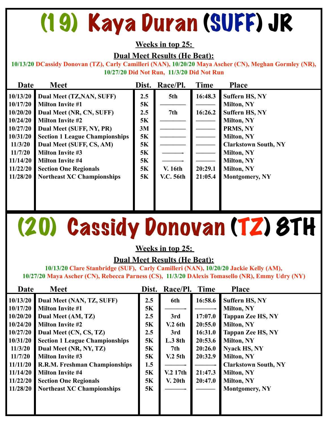# (19) Kaya Duran (SUFF) JR

### **Weeks in top 25:**

### **Dual Meet Results (He Beat):**

**10/13/20 DCassidy Donovan (TZ), Carly Camilleri (NAN), 10/20/20 Maya Ascher (CN), Meghan Gormley (NR), 10/27/20 Did Not Run, 11/3/20 Did Not Run** 

| Date     | <b>Meet</b>                           | Dist. | Race/Pl.         | <b>Time</b> | <b>Place</b>                |
|----------|---------------------------------------|-------|------------------|-------------|-----------------------------|
| 10/13/20 | Dual Meet (TZ, NAN, SUFF)             | 2.5   | 5th              | 16:48.3     | <b>Suffern HS, NY</b>       |
| 10/17/20 | <b>Milton Invite #1</b>               | 5K    |                  |             | <b>Milton, NY</b>           |
| 10/20/20 | Dual Meet (NR, CN, SUFF)              | 2.5   | 7th              | 16:26.2     | <b>Suffern HS, NY</b>       |
| 10/24/20 | <b>Milton Invite #2</b>               | 5K    |                  |             | <b>Milton, NY</b>           |
| 10/27/20 | Dual Meet (SUFF, NY, PR)              | 3M    |                  |             | PRMS, NY                    |
| 10/31/20 | <b>Section 1 League Championships</b> | 5K    |                  |             | <b>Milton, NY</b>           |
| 11/3/20  | Dual Meet (SUFF, CS, AM)              | 5K    |                  |             | <b>Clarkstown South, NY</b> |
| 11/7/20  | <b>Milton Invite #3</b>               | 5K    |                  |             | <b>Milton, NY</b>           |
| 11/14/20 | <b>Milton Invite #4</b>               | 5K    |                  |             | <b>Milton, NY</b>           |
| 11/22/20 | <b>Section One Regionals</b>          | 5K    | <b>V.</b> 16th   | 20:29.1     | <b>Milton, NY</b>           |
| 11/28/20 | <b>Northeast XC Championships</b>     | 5K    | <b>V.C.</b> 56th | 21:05.4     | <b>Montgomery, NY</b>       |
|          |                                       |       |                  |             |                             |
|          |                                       |       |                  |             |                             |
|          |                                       |       |                  |             |                             |

# (20) Cassidy Donovan (TZ) 8TH

### **Weeks in top 25:**

### **Dual Meet Results (He Beat):**

**10/13/20 Clare Stanbridge (SUF), Carly Camilleri (NAN), 10/20/20 Jackie Kelly (AM), 10/27/20 Maya Ascher (CN), Rebecca Parness (CS), 11/3/20 DAlexis Tomasello (NR), Emmy Udry (NY)**

| Date     | <b>Meet</b>                           | Dist.     | Race/Pl. Time       |         | <b>Place</b>                |
|----------|---------------------------------------|-----------|---------------------|---------|-----------------------------|
| 10/13/20 | Dual Meet (NAN, TZ, SUFF)             | 2.5       | 6th                 | 16:58.6 | <b>Suffern HS, NY</b>       |
| 10/17/20 | <b>Milton Invite #1</b>               | 5K        |                     |         | <b>Milton, NY</b>           |
| 10/20/20 | Dual Meet (AM, TZ)                    | 2.5       | 3rd                 | 17:07.0 | <b>Tappan Zee HS, NY</b>    |
| 10/24/20 | <b>Milton Invite #2</b>               | 5K        | $V2$ 6th            | 20:55.0 | <b>Milton, NY</b>           |
| 10/27/20 | Dual Meet (CN, CS, TZ)                | 2.5       | 3rd                 | 16:31.0 | <b>Tappan Zee HS, NY</b>    |
| 10/31/20 | <b>Section 1 League Championships</b> | 5K        | L.38th              | 20:53.6 | <b>Milton, NY</b>           |
| 11/3/20  | Dual Meet (NR, NY, TZ)                | <b>5K</b> | 7th                 | 20:26.0 | <b>Nyack HS, NY</b>         |
| 11/7/20  | <b>Milton Invite #3</b>               | 5K        | V <sub>2</sub> 5th  | 20:32.9 | <b>Milton, NY</b>           |
| 11/11/20 | <b>R.R.M. Freshman Championships</b>  | 1.5       |                     |         | <b>Clarkstown South, NY</b> |
| 11/14/20 | <b>Milton Invite #4</b>               | 5K        | V <sub>2</sub> 17th | 21:47.3 | <b>Milton, NY</b>           |
| 11/22/20 | <b>Section One Regionals</b>          | 5K        | <b>V. 20th</b>      | 20:47.0 | <b>Milton, NY</b>           |
| 11/28/20 | <b>Northeast XC Championships</b>     | <b>5K</b> |                     |         | <b>Montgomery, NY</b>       |
|          |                                       |           |                     |         |                             |
|          |                                       |           |                     |         |                             |
|          |                                       |           |                     |         |                             |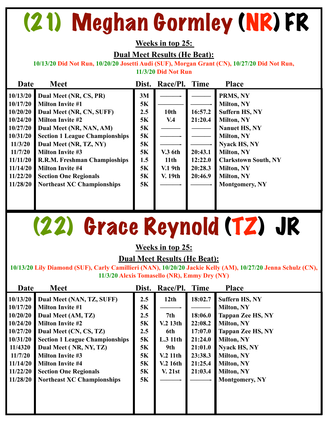# (21) Meghan Gormley (NR) FR

#### **Weeks in top 25:**

**Dual Meet Results (He Beat):** 

**10/13/20 Did Not Run, 10/20/20 Josetti Audi (SUF), Morgan Grant (CN), 10/27/20 Did Not Run, 11/3/20 Did Not Run** 

| Date     | <b>Meet</b>                           | Dist.     | Race/Pl.           | <b>Time</b> | <b>Place</b>                |
|----------|---------------------------------------|-----------|--------------------|-------------|-----------------------------|
| 10/13/20 | Dual Meet (NR, CS, PR)                | 3M        |                    |             | PRMS, NY                    |
| 10/17/20 | <b>Milton Invite #1</b>               | 5K        |                    |             | <b>Milton, NY</b>           |
| 10/20/20 | Dual Meet (NR, CN, SUFF)              | 2.5       | 10 <sub>th</sub>   | 16:57.2     | <b>Suffern HS, NY</b>       |
| 10/24/20 | <b>Milton Invite #2</b>               | 5K        | V <sub>4</sub>     | 21:20.4     | Milton, NY                  |
| 10/27/20 | Dual Meet (NR, NAN, AM)               | 5K        |                    |             | <b>Nanuet HS, NY</b>        |
| 10/31/20 | <b>Section 1 League Championships</b> | <b>5K</b> |                    |             | <b>Milton, NY</b>           |
| 11/3/20  | Dual Meet (NR, TZ, NY)                | 5K        |                    |             | <b>Nyack HS, NY</b>         |
| 11/7/20  | <b>Milton Invite #3</b>               | 5K        | <b>V.3 6th</b>     | 20:43.1     | <b>Milton, NY</b>           |
| 11/11/20 | <b>R.R.M. Freshman Champioships</b>   | 1.5       | 11 <sub>th</sub>   | 12:22.0     | <b>Clarkstown South, NY</b> |
| 11/14/20 | <b>Milton Invite #4</b>               | 5K        | V.19 <sub>th</sub> | 20:28.3     | <b>Milton, NY</b>           |
| 11/22/20 | <b>Section One Regionals</b>          | 5K        | <b>V.</b> 19th     | 20:46.9     | Milton, NY                  |
| 11/28/20 | <b>Northeast XC Championships</b>     | <b>5K</b> |                    |             | <b>Montgomery, NY</b>       |
|          |                                       |           |                    |             |                             |
|          |                                       |           |                    |             |                             |

### (22) Grace Reynold (TZ) JR

### **Weeks in top 25:**

### **Dual Meet Results (He Beat):**

**10/13/20 Lily Diamond (SUF), Carly Camillieri (NAN), 10/20/20 Jackie Kelly (AM), 10/27/20 Jenna Schulz (CN), 11/3/20 Alexis Tomasello (NR), Emmy Dry (NY)** 

| Date     | <b>Meet</b>                           | Dist.     | Race/Pl.            | Time    | <b>Place</b>             |
|----------|---------------------------------------|-----------|---------------------|---------|--------------------------|
| 10/13/20 | Dual Meet (NAN, TZ, SUFF)             | 2.5       | 12th                | 18:02.7 | <b>Suffern HS, NY</b>    |
| 10/17/20 | <b>Milton Invite #1</b>               | 5K        |                     |         | <b>Milton, NY</b>        |
| 10/20/20 | Dual Meet (AM, TZ)                    | 2.5       | 7th                 | 18:06.0 | <b>Tappan Zee HS, NY</b> |
| 10/24/20 | <b>Milton Invite #2</b>               | <b>5K</b> | V <sub>2</sub> 13th | 22:08.2 | Milton, NY               |
| 10/27/20 | Dual Meet (CN, CS, TZ)                | $2.5\,$   | 6th                 | 17:07.0 | <b>Tappan Zee HS, NY</b> |
| 10/31/20 | <b>Section 1 League Championships</b> | <b>5K</b> | L.311th             | 21:24.0 | Milton, NY               |
| 11/4320  | Dual Meet (NR, NY, TZ)                | 5K        | 9th                 | 21:01.0 | <b>Nyack HS, NY</b>      |
| 11/7/20  | <b>Milton Invite #3</b>               | <b>5K</b> | V <sub>2</sub> 11th | 23:38.3 | Milton, NY               |
| 11/14/20 | <b>Milton Invite #4</b>               | <b>5K</b> | V.2 16th            | 21:25.4 | Milton, NY               |
| 11/22/20 | <b>Section One Regionals</b>          | <b>5K</b> | <b>V.</b> 21st      | 21:03.4 | Milton, NY               |
| 11/28/20 | <b>Northeast XC Championships</b>     | 5K        |                     |         | <b>Montgomery, NY</b>    |
|          |                                       |           |                     |         |                          |
|          |                                       |           |                     |         |                          |
|          |                                       |           |                     |         |                          |
|          |                                       |           |                     |         |                          |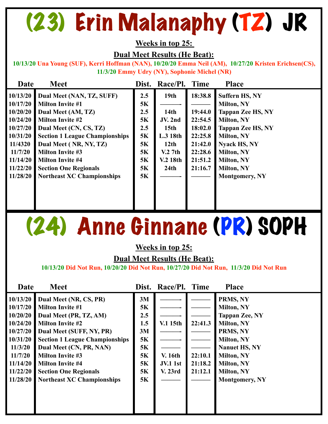### (23) Erin Malanaphy (TZ) JR

### **Weeks in top 25:**

**Dual Meet Results (He Beat):** 

**10/13/20 Una Young (SUF), Kerri Hoffman (NAN), 10/20/20 Emma Neil (AM), 10/27/20 Kristen Erichsen(CS), 11/3/20 Emmy Udry (NY), Sophonie Michel (NR)** 

| Date     | <b>Meet</b>                           | Dist.     | Race/Pl.         | Time    | <b>Place</b>          |
|----------|---------------------------------------|-----------|------------------|---------|-----------------------|
| 10/13/20 | Dual Meet (NAN, TZ, SUFF)             | 2.5       | 19 <sub>th</sub> | 18:38.8 | <b>Suffern HS, NY</b> |
| 10/17/20 | <b>Milton Invite #1</b>               | 5K        |                  |         | <b>Milton, NY</b>     |
| 10/20/20 | Dual Meet (AM, TZ)                    | 2.5       | 14 <sub>th</sub> | 19:44.0 | Tappan Zee HS, NY     |
| 10/24/20 | <b>Milton Invite #2</b>               | 5K        | JV. 2nd          | 22:54.5 | <b>Milton, NY</b>     |
| 10/27/20 | Dual Meet (CN, CS, TZ)                | 2.5       | 15 <sub>th</sub> | 18:02.0 | Tappan Zee HS, NY     |
| 10/31/20 | <b>Section 1 League Championships</b> | <b>5K</b> | L.3 18th         | 22:25.8 | Milton, NY            |
| 11/4320  | Dual Meet (NR, NY, TZ)                | 5K        | 12 <sub>th</sub> | 21:42.0 | <b>Nyack HS, NY</b>   |
| 11/7/20  | <b>Milton Invite #3</b>               | 5K        | $V2$ 7th         | 22:28.6 | <b>Milton, NY</b>     |
| 11/14/20 | <b>Milton Invite #4</b>               | 5K        | V.2 18th         | 21:51.2 | <b>Milton, NY</b>     |
| 11/22/20 | <b>Section One Regionals</b>          | 5K        | 24th             | 21:16.7 | <b>Milton, NY</b>     |
| 11/28/20 | <b>Northeast XC Championships</b>     | <b>5K</b> |                  |         | <b>Montgomery, NY</b> |
|          |                                       |           |                  |         |                       |
|          |                                       |           |                  |         |                       |
|          |                                       |           |                  |         |                       |

# (24) Anne Ginnane (PR) SOPH

### **Weeks in top 25:**

**Dual Meet Results (He Beat):** 

**10/13/20 Did Not Run, 10/20/20 Did Not Run, 10/27/20 Did Not Run, 11/3/20 Did Not Run** 

| Date                                                                                                                           | <b>Meet</b>                                                                                                                                                                                                                                                                                                                       | Dist.                                                                                 | Race/Pl. Time                                                   |                                          | <b>Place</b>                                                                                                                                                                                                   |
|--------------------------------------------------------------------------------------------------------------------------------|-----------------------------------------------------------------------------------------------------------------------------------------------------------------------------------------------------------------------------------------------------------------------------------------------------------------------------------|---------------------------------------------------------------------------------------|-----------------------------------------------------------------|------------------------------------------|----------------------------------------------------------------------------------------------------------------------------------------------------------------------------------------------------------------|
| 10/13/20<br>10/17/20<br>10/20/20<br>10/24/20<br>10/27/20<br>10/31/20<br>11/3/20<br>11/7/20<br>11/14/20<br>11/22/20<br>11/28/20 | Dual Meet (NR, CS, PR)<br><b>Milton Invite #1</b><br>Dual Meet (PR, TZ, AM)<br><b>Milton Invite #2</b><br>Dual Meet (SUFF, NY, PR)<br><b>Section 1 League Championships</b><br>Dual Meet (CN, PR, NAN)<br><b>Milton Invite #3</b><br><b>Milton Invite #4</b><br><b>Section One Regionals</b><br><b>Northeast XC Championships</b> | 3M<br><b>5K</b><br>2.5<br>1.5<br>3M<br>5K<br><b>5K</b><br>5K<br>5K<br><b>5K</b><br>5K | V.1 15th<br><b>V.</b> 16th<br><b>JV.1 1st</b><br><b>V.</b> 23rd | 22:41.3<br>22:10.1<br>21:18.2<br>21:12.1 | PRMS, NY<br><b>Milton, NY</b><br><b>Tappan Zee, NY</b><br><b>Milton, NY</b><br>PRMS, NY<br><b>Milton, NY</b><br><b>Nanuet HS, NY</b><br><b>Milton, NY</b><br>Milton, NY<br>Milton, NY<br><b>Montgomery, NY</b> |
|                                                                                                                                |                                                                                                                                                                                                                                                                                                                                   |                                                                                       |                                                                 |                                          |                                                                                                                                                                                                                |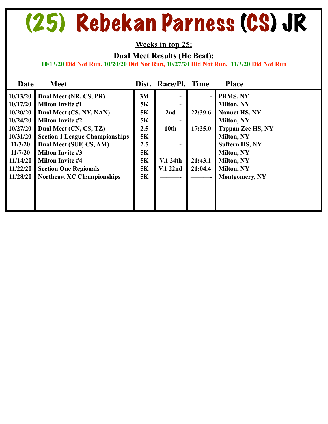### (25) Rebekan Parness (CS) JR

### **Weeks in top 25:**

**Dual Meet Results (He Beat):** 

**10/13/20 Did Not Run, 10/20/20 Did Not Run, 10/27/20 Did Not Run, 11/3/20 Did Not Run** 

| Date     | <b>Meet</b>                           |           | Dist. Race/Pl. Time |         | <b>Place</b>             |
|----------|---------------------------------------|-----------|---------------------|---------|--------------------------|
| 10/13/20 | Dual Meet (NR, CS, PR)                | 3M        |                     |         | PRMS, NY                 |
| 10/17/20 | <b>Milton Invite #1</b>               | 5K        |                     |         | <b>Milton, NY</b>        |
| 10/20/20 | Dual Meet (CS, NY, NAN)               | 5K        | 2nd                 | 22:39.6 | <b>Nanuet HS, NY</b>     |
| 10/24/20 | <b>Milton Invite #2</b>               | 5K        |                     |         | <b>Milton, NY</b>        |
| 10/27/20 | Dual Meet (CN, CS, TZ)                | $2.5\,$   | 10 <sub>th</sub>    | 17:35.0 | <b>Tappan Zee HS, NY</b> |
| 10/31/20 | <b>Section 1 League Championships</b> | <b>5K</b> |                     |         | <b>Milton, NY</b>        |
| 11/3/20  | Dual Meet (SUF, CS, AM)               | $2.5\,$   |                     |         | <b>Suffern HS, NY</b>    |
| 11/7/20  | <b>Milton Invite #3</b>               | 5K        |                     |         | <b>Milton, NY</b>        |
| 11/14/20 | <b>Milton Invite #4</b>               | 5K        | V.1 24th            | 21:43.1 | <b>Milton, NY</b>        |
| 11/22/20 | <b>Section One Regionals</b>          | 5K        | V.1 22nd            | 21:04.4 | <b>Milton, NY</b>        |
| 11/28/20 | <b>Northeast XC Championships</b>     | <b>5K</b> |                     |         | <b>Montgomery, NY</b>    |
|          |                                       |           |                     |         |                          |
|          |                                       |           |                     |         |                          |
|          |                                       |           |                     |         |                          |
|          |                                       |           |                     |         |                          |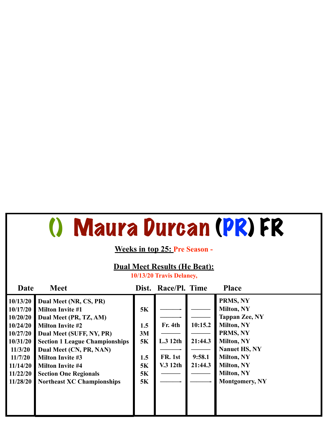# () Maura Durcan (PR) FR

#### **Weeks in top 25: Pre Season -**

#### **Dual Meet Results (He Beat):**

**10/13/20 Travis Delaney,**

| Date                                                                                                                           | <b>Meet</b>                                                                                                                                                                                                                                                                                                                       |                                                              | Dist. Race/Pl. Time                      |                                         | <b>Place</b>                                                                                                                                                                                     |
|--------------------------------------------------------------------------------------------------------------------------------|-----------------------------------------------------------------------------------------------------------------------------------------------------------------------------------------------------------------------------------------------------------------------------------------------------------------------------------|--------------------------------------------------------------|------------------------------------------|-----------------------------------------|--------------------------------------------------------------------------------------------------------------------------------------------------------------------------------------------------|
| 10/13/20<br>10/17/20<br>10/20/20<br>10/24/20<br>10/27/20<br>10/31/20<br>11/3/20<br>11/7/20<br>11/14/20<br>11/22/20<br>11/28/20 | Dual Meet (NR, CS, PR)<br><b>Milton Invite #1</b><br>Dual Meet (PR, TZ, AM)<br><b>Milton Invite #2</b><br>Dual Meet (SUFF, NY, PR)<br><b>Section 1 League Championships</b><br>Dual Meet (CN, PR, NAN)<br><b>Milton Invite #3</b><br><b>Milton Invite #4</b><br><b>Section One Regionals</b><br><b>Northeast XC Championships</b> | 5K<br>1.5<br>3M<br><b>5K</b><br>1.5<br>5K<br>5K<br><b>5K</b> | Fr. 4th<br>L.312th<br>FR. 1st<br>V.312th | 10:15.2<br>21:44.3<br>9:58.1<br>21:44.3 | PRMS, NY<br>Milton, NY<br><b>Tappan Zee, NY</b><br><b>Milton, NY</b><br>PRMS, NY<br>Milton, NY<br><b>Nanuet HS, NY</b><br><b>Milton, NY</b><br>Milton, NY<br>Milton, NY<br><b>Montgomery, NY</b> |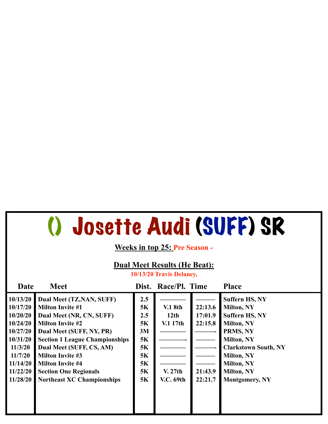### () Josette Audi (SUFF) SR

#### **Weeks in top 25: Pre Season -**

#### **Dual Meet Results (He Beat):**

**10/13/20 Travis Delaney,**

| Date                                                                            | <b>Meet</b>                                                                                                                                                                                                  |                                                        | Dist. Race/Pl. Time               |                               | <b>Place</b>                                                                                                                                             |
|---------------------------------------------------------------------------------|--------------------------------------------------------------------------------------------------------------------------------------------------------------------------------------------------------------|--------------------------------------------------------|-----------------------------------|-------------------------------|----------------------------------------------------------------------------------------------------------------------------------------------------------|
| 10/13/20<br>10/17/20<br>10/20/20<br>10/24/20<br>10/27/20<br>10/31/20<br>11/3/20 | Dual Meet (TZ, NAN, SUFF)<br><b>Milton Invite #1</b><br>Dual Meet (NR, CN, SUFF)<br><b>Milton Invite #2</b><br>Dual Meet (SUFF, NY, PR)<br><b>Section 1 League Championships</b><br>Dual Meet (SUFF, CS, AM) | 2.5<br><b>5K</b><br>2.5<br>5K<br>3M<br><b>5K</b><br>5K | <b>V.1 8th</b><br>12th<br>V.117th | 22:13.6<br>17:01.9<br>22:15.8 | <b>Suffern HS, NY</b><br><b>Milton, NY</b><br><b>Suffern HS, NY</b><br><b>Milton, NY</b><br>PRMS, NY<br><b>Milton, NY</b><br><b>Clarkstown South, NY</b> |
| 11/7/20<br>11/14/20<br>11/22/20<br>11/28/20                                     | <b>Milton Invite #3</b><br><b>Milton Invite #4</b><br><b>Section One Regionals</b><br><b>Northeast XC Championships</b>                                                                                      | 5K<br>5K<br><b>5K</b><br><b>5K</b>                     | V. 27th<br><b>V.C. 69th</b>       | 21:43.9<br>22:21.7            | <b>Milton, NY</b><br><b>Milton, NY</b><br><b>Milton, NY</b><br><b>Montgomery, NY</b>                                                                     |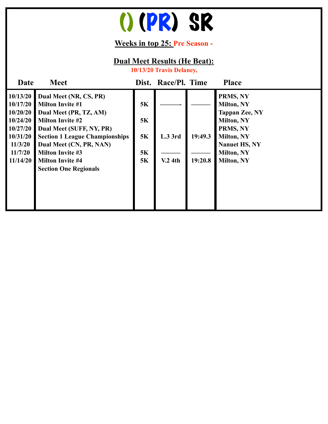

### **Weeks in top 25: Pre Season -**

### **Dual Meet Results (He Beat):**

**10/13/20 Travis Delaney,**

| Date                                                                                                   | <b>Meet</b>                                                                                                                                                                                                                                                                                  |                                                 | Dist. Race/Pl. Time       |                    | <b>Place</b>                                                                                                                                                                   |
|--------------------------------------------------------------------------------------------------------|----------------------------------------------------------------------------------------------------------------------------------------------------------------------------------------------------------------------------------------------------------------------------------------------|-------------------------------------------------|---------------------------|--------------------|--------------------------------------------------------------------------------------------------------------------------------------------------------------------------------|
| 10/13/20<br>10/17/20<br>10/20/20<br>10/24/20<br>10/27/20<br>10/31/20<br>11/3/20<br>11/7/20<br>11/14/20 | Dual Meet (NR, CS, PR)<br><b>Milton Invite #1</b><br>Dual Meet (PR, TZ, AM)<br><b>Milton Invite #2</b><br>Dual Meet (SUFF, NY, PR)<br><b>Section 1 League Championships</b><br>Dual Meet (CN, PR, NAN)<br><b>Milton Invite #3</b><br><b>Milton Invite #4</b><br><b>Section One Regionals</b> | <b>5K</b><br><b>5K</b><br><b>5K</b><br>5K<br>5K | L.3 3rd<br><b>V.2 4th</b> | 19:49.3<br>19:20.8 | PRMS, NY<br><b>Milton, NY</b><br><b>Tappan Zee, NY</b><br><b>Milton, NY</b><br>PRMS, NY<br><b>Milton, NY</b><br><b>Nanuet HS, NY</b><br><b>Milton, NY</b><br><b>Milton, NY</b> |